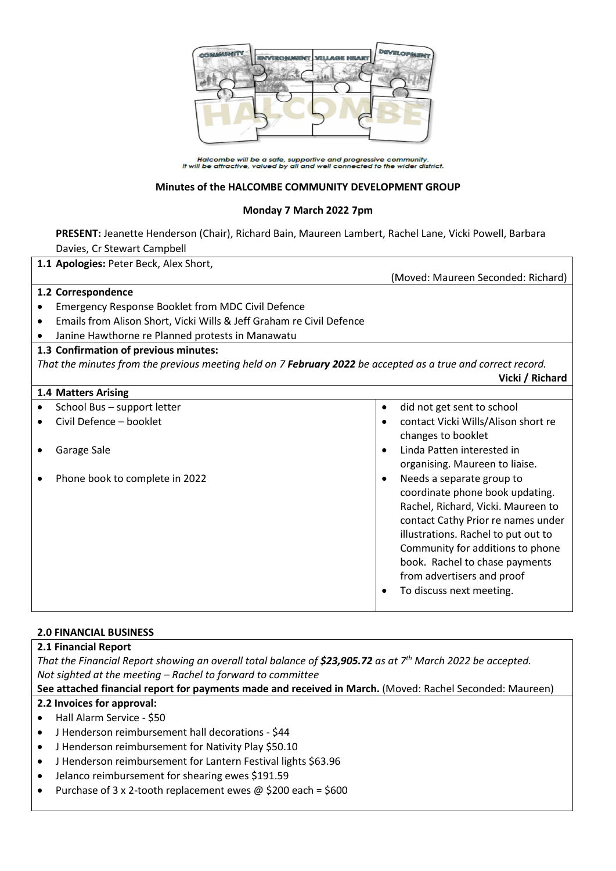

Halcombe will be a safe, supportive and progressive community.<br>It will be attractive, valued by all and well connected to the wider district.

#### **Minutes of the HALCOMBE COMMUNITY DEVELOPMENT GROUP**

#### **Monday 7 March 2022 7pm**

**PRESENT:** Jeanette Henderson (Chair), Richard Bain, Maureen Lambert, Rachel Lane, Vicki Powell, Barbara Davies, Cr Stewart Campbell

|           | 1.1 Apologies: Peter Beck, Alex Short,                                                                       |           |                                     |
|-----------|--------------------------------------------------------------------------------------------------------------|-----------|-------------------------------------|
|           |                                                                                                              |           | (Moved: Maureen Seconded: Richard)  |
|           | 1.2 Correspondence                                                                                           |           |                                     |
|           | Emergency Response Booklet from MDC Civil Defence                                                            |           |                                     |
| $\bullet$ | Emails from Alison Short, Vicki Wills & Jeff Graham re Civil Defence                                         |           |                                     |
| $\bullet$ | Janine Hawthorne re Planned protests in Manawatu                                                             |           |                                     |
|           | 1.3 Confirmation of previous minutes:                                                                        |           |                                     |
|           | That the minutes from the previous meeting held on 7 February 2022 be accepted as a true and correct record. |           |                                     |
|           |                                                                                                              |           | Vicki / Richard                     |
|           | 1.4 Matters Arising                                                                                          |           |                                     |
|           | School Bus - support letter                                                                                  | $\bullet$ | did not get sent to school          |
|           | Civil Defence - booklet                                                                                      |           | contact Vicki Wills/Alison short re |
|           |                                                                                                              |           | changes to booklet                  |
|           | Garage Sale                                                                                                  |           | Linda Patten interested in          |
|           |                                                                                                              |           | organising. Maureen to liaise.      |
|           | Phone book to complete in 2022                                                                               |           | Needs a separate group to           |
|           |                                                                                                              |           | coordinate phone book updating.     |
|           |                                                                                                              |           | Rachel, Richard, Vicki. Maureen to  |
|           |                                                                                                              |           | contact Cathy Prior re names under  |
|           |                                                                                                              |           | illustrations. Rachel to put out to |
|           |                                                                                                              |           | Community for additions to phone    |
|           |                                                                                                              |           | book. Rachel to chase payments      |
|           |                                                                                                              |           | from advertisers and proof          |
|           |                                                                                                              |           | To discuss next meeting.            |
|           |                                                                                                              |           |                                     |

#### **2.0 FINANCIAL BUSINESS**

#### **2.1 Financial Report**

*That the Financial Report showing an overall total balance of \$23,905.72 as at 7 th March 2022 be accepted. Not sighted at the meeting – Rachel to forward to committee*

#### **See attached financial report for payments made and received in March.** (Moved: Rachel Seconded: Maureen)

#### **2.2 Invoices for approval:**

- Hall Alarm Service \$50
- J Henderson reimbursement hall decorations \$44
- J Henderson reimbursement for Nativity Play \$50.10
- J Henderson reimbursement for Lantern Festival lights \$63.96
- Jelanco reimbursement for shearing ewes \$191.59
- Purchase of 3 x 2-tooth replacement ewes @ \$200 each = \$600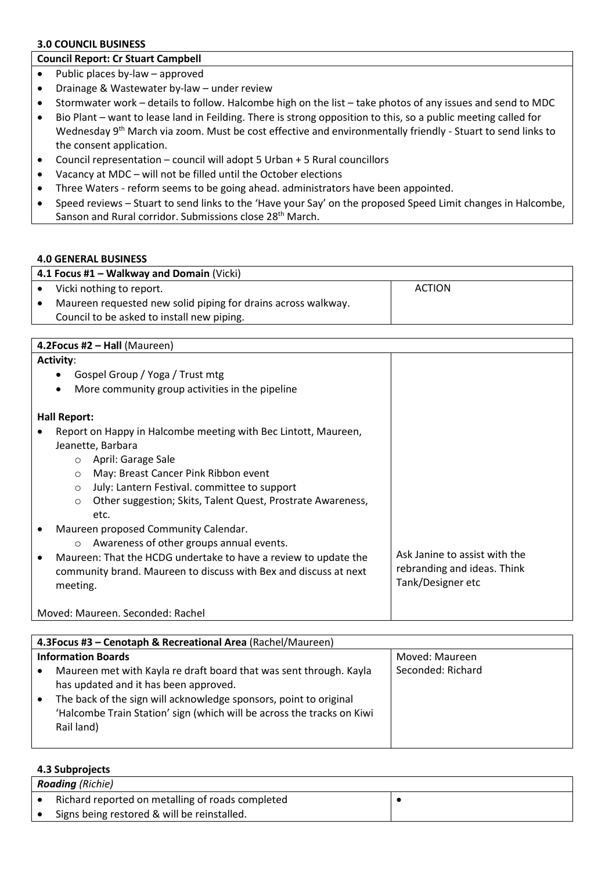## **3.0 COUNCIL BUSINESS**

#### **Council Report: Cr Stuart Campbell**

- Public places by-law approved
- Drainage & Wastewater by-law under review
- Stormwater work details to follow. Halcombe high on the list take photos of any issues and send to MDC
- Bio Plant want to lease land in Feilding. There is strong opposition to this, so a public meeting called for Wednesday 9<sup>th</sup> March via zoom. Must be cost effective and environmentally friendly - Stuart to send links to the consent application.
- Council representation council will adopt 5 Urban + 5 Rural councillors
- Vacancy at MDC will not be filled until the October elections
- Three Waters reform seems to be going ahead. administrators have been appointed.
- Speed reviews Stuart to send links to the 'Have your Say' on the proposed Speed Limit changes in Halcombe, Sanson and Rural corridor. Submissions close 28<sup>th</sup> March.

#### **4.0 GENERAL BUSINESS**

| 4.1 Focus #1 – Walkway and Domain (Vicki) |                                                               |        |  |
|-------------------------------------------|---------------------------------------------------------------|--------|--|
|                                           | Vicki nothing to report.                                      | ACTION |  |
|                                           | Maureen requested new solid piping for drains across walkway. |        |  |
|                                           | Council to be asked to install new piping.                    |        |  |

## **4.2Focus #2 – Hall** (Maureen)

**4.3 Subprojects**

| <b>Activity:</b>                                                       |                               |
|------------------------------------------------------------------------|-------------------------------|
| Gospel Group / Yoga / Trust mtg                                        |                               |
| More community group activities in the pipeline<br>$\bullet$           |                               |
| <b>Hall Report:</b>                                                    |                               |
| Report on Happy in Halcombe meeting with Bec Lintott, Maureen,         |                               |
| Jeanette, Barbara                                                      |                               |
| April: Garage Sale<br>$\circ$                                          |                               |
| May: Breast Cancer Pink Ribbon event<br>$\circ$                        |                               |
| July: Lantern Festival. committee to support<br>$\circ$                |                               |
| Other suggestion; Skits, Talent Quest, Prostrate Awareness,<br>$\circ$ |                               |
| etc.                                                                   |                               |
| Maureen proposed Community Calendar.                                   |                               |
| Awareness of other groups annual events.<br>$\circ$                    |                               |
| Maureen: That the HCDG undertake to have a review to update the        | Ask Janine to assist with the |
| community brand. Maureen to discuss with Bex and discuss at next       | rebranding and ideas. Think   |
| meeting.                                                               | Tank/Designer etc             |
|                                                                        |                               |
| Moved: Maureen. Seconded: Rachel                                       |                               |

|                                             | 4.3 Focus #3 - Cenotaph & Recreational Area (Rachel/Maureen)                                                                                                                                                                                                             |                   |
|---------------------------------------------|--------------------------------------------------------------------------------------------------------------------------------------------------------------------------------------------------------------------------------------------------------------------------|-------------------|
| <b>Information Boards</b><br>Moved: Maureen |                                                                                                                                                                                                                                                                          |                   |
| $\bullet$                                   | Maureen met with Kayla re draft board that was sent through. Kayla<br>has updated and it has been approved.<br>The back of the sign will acknowledge sponsors, point to original<br>'Halcombe Train Station' sign (which will be across the tracks on Kiwi<br>Rail land) | Seconded: Richard |

|                         | TIY YUNNI VILLU                                  |  |
|-------------------------|--------------------------------------------------|--|
| <b>Roading</b> (Richie) |                                                  |  |
|                         | Richard reported on metalling of roads completed |  |
|                         | Signs being restored & will be reinstalled.      |  |